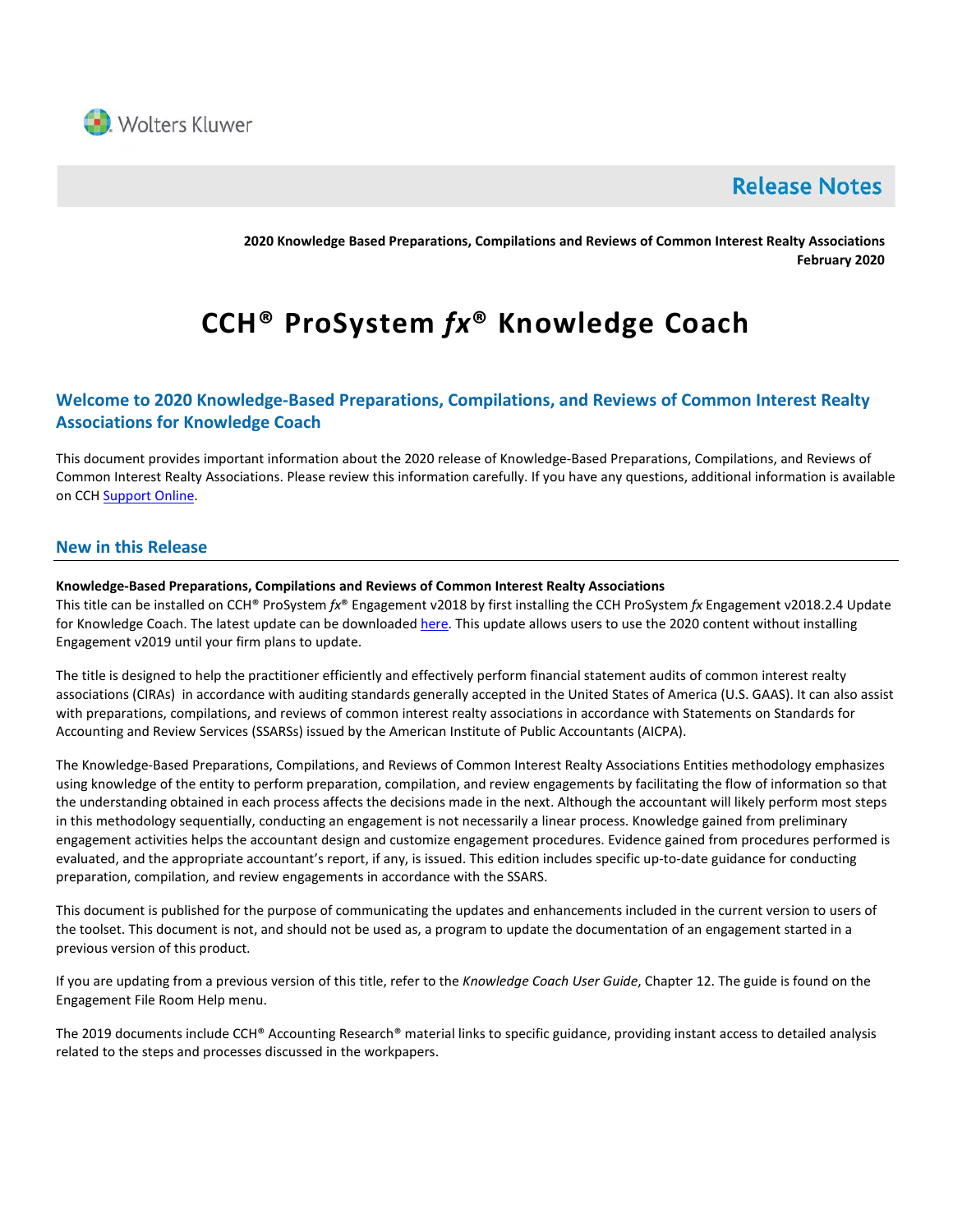

# **Release Notes**

**2020 Knowledge Based Preparations, Compilations and Reviews of Common Interest Realty Associations February 2020**

# **CCH® ProSystem** *fx***® Knowledge Coach**

# **Welcome to 2020 Knowledge-Based Preparations, Compilations, and Reviews of Common Interest Realty Associations for Knowledge Coach**

This document provides important information about the 2020 release of Knowledge-Based Preparations, Compilations, and Reviews of Common Interest Realty Associations. Please review this information carefully. If you have any questions, additional information is available on CCH **Support Online**.

# **New in this Release**

#### **Knowledge-Based Preparations, Compilations and Reviews of Common Interest Realty Associations**

This title can be installed on CCH® ProSystem *fx*® Engagement v2018 by first installing the CCH ProSystem *fx* Engagement v2018.2.4 Update for Knowledge Coach. The latest update can be downloade[d here.](https://support.cch.com/updates/Engagement/release2018/release2018.aspx) This update allows users to use the 2020 content without installing Engagement v2019 until your firm plans to update.

The title is designed to help the practitioner efficiently and effectively perform financial statement audits of common interest realty associations (CIRAs) in accordance with auditing standards generally accepted in the United States of America (U.S. GAAS). It can also assist with preparations, compilations, and reviews of common interest realty associations in accordance with Statements on Standards for Accounting and Review Services (SSARSs) issued by the American Institute of Public Accountants (AICPA).

The Knowledge-Based Preparations, Compilations, and Reviews of Common Interest Realty Associations Entities methodology emphasizes using knowledge of the entity to perform preparation, compilation, and review engagements by facilitating the flow of information so that the understanding obtained in each process affects the decisions made in the next. Although the accountant will likely perform most steps in this methodology sequentially, conducting an engagement is not necessarily a linear process. Knowledge gained from preliminary engagement activities helps the accountant design and customize engagement procedures. Evidence gained from procedures performed is evaluated, and the appropriate accountant's report, if any, is issued. This edition includes specific up-to-date guidance for conducting preparation, compilation, and review engagements in accordance with the SSARS.

This document is published for the purpose of communicating the updates and enhancements included in the current version to users of the toolset. This document is not, and should not be used as, a program to update the documentation of an engagement started in a previous version of this product.

If you are updating from a previous version of this title, refer to the *Knowledge Coach User Guide*, Chapter 12. The guide is found on the Engagement File Room Help menu.

The 2019 documents include CCH® Accounting Research® material links to specific guidance, providing instant access to detailed analysis related to the steps and processes discussed in the workpapers.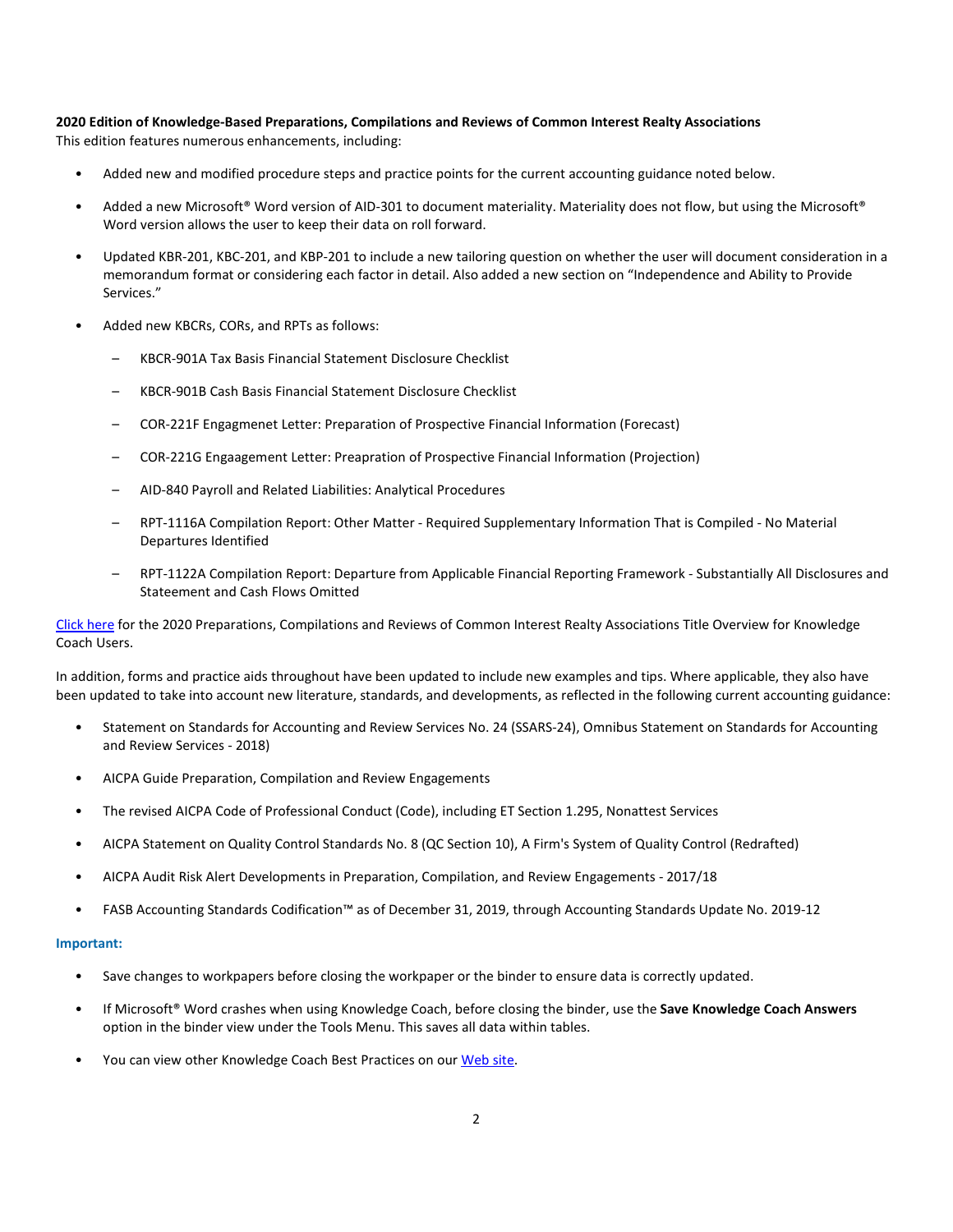# **2020 Edition of Knowledge-Based Preparations, Compilations and Reviews of Common Interest Realty Associations**

This edition features numerous enhancements, including:

- Added new and modified procedure steps and practice points for the current accounting guidance noted below.
- Added a new Microsoft® Word version of AID-301 to document materiality. Materiality does not flow, but using the Microsoft® Word version allows the user to keep their data on roll forward.
- Updated KBR-201, KBC-201, and KBP-201 to include a new tailoring question on whether the user will document consideration in a memorandum format or considering each factor in detail. Also added a new section on "Independence and Ability to Provide Services."
- Added new KBCRs, CORs, and RPTs as follows:
	- KBCR-901A Tax Basis Financial Statement Disclosure Checklist
	- KBCR-901B Cash Basis Financial Statement Disclosure Checklist
	- COR-221F Engagmenet Letter: Preparation of Prospective Financial Information (Forecast)
	- COR-221G Engaagement Letter: Preapration of Prospective Financial Information (Projection)
	- AID-840 Payroll and Related Liabilities: Analytical Procedures
	- RPT-1116A Compilation Report: Other Matter Required Supplementary Information That is Compiled No Material Departures Identified
	- RPT-1122A Compilation Report: Departure from Applicable Financial Reporting Framework Substantially All Disclosures and Stateement and Cash Flows Omitted

[Click here](http://support.cch.com/updates/KnowledgeCoach/pdf/guides_tab/2020%20CIRA%20PCR%20Title%20Overview%20for%20Knowledge%20Coach%20Users.pdf) for the 2020 Preparations, Compilations and Reviews of Common Interest Realty Associations Title Overview for Knowledge Coach Users.

In addition, forms and practice aids throughout have been updated to include new examples and tips. Where applicable, they also have been updated to take into account new literature, standards, and developments, as reflected in the following current accounting guidance:

- Statement on Standards for Accounting and Review Services No. 24 (SSARS-24), Omnibus Statement on Standards for Accounting and Review Services - 2018)
- AICPA Guide Preparation, Compilation and Review Engagements
- The revised AICPA Code of Professional Conduct (Code), including ET Section 1.295, Nonattest Services
- AICPA Statement on Quality Control Standards No. 8 (QC Section 10), A Firm's System of Quality Control (Redrafted)
- AICPA Audit Risk Alert Developments in Preparation, Compilation, and Review Engagements 2017/18
- FASB Accounting Standards Codification™ as of December 31, 2019, through Accounting Standards Update No. 2019-12

#### **Important:**

- Save changes to workpapers before closing the workpaper or the binder to ensure data is correctly updated.
- If Microsoft® Word crashes when using Knowledge Coach, before closing the binder, use the **Save Knowledge Coach Answers** option in the binder view under the Tools Menu. This saves all data within tables.
- You can view other Knowledge Coach Best Practices on ou[r Web site.](https://support.cch.com/kb/solution/000034942/sw34947)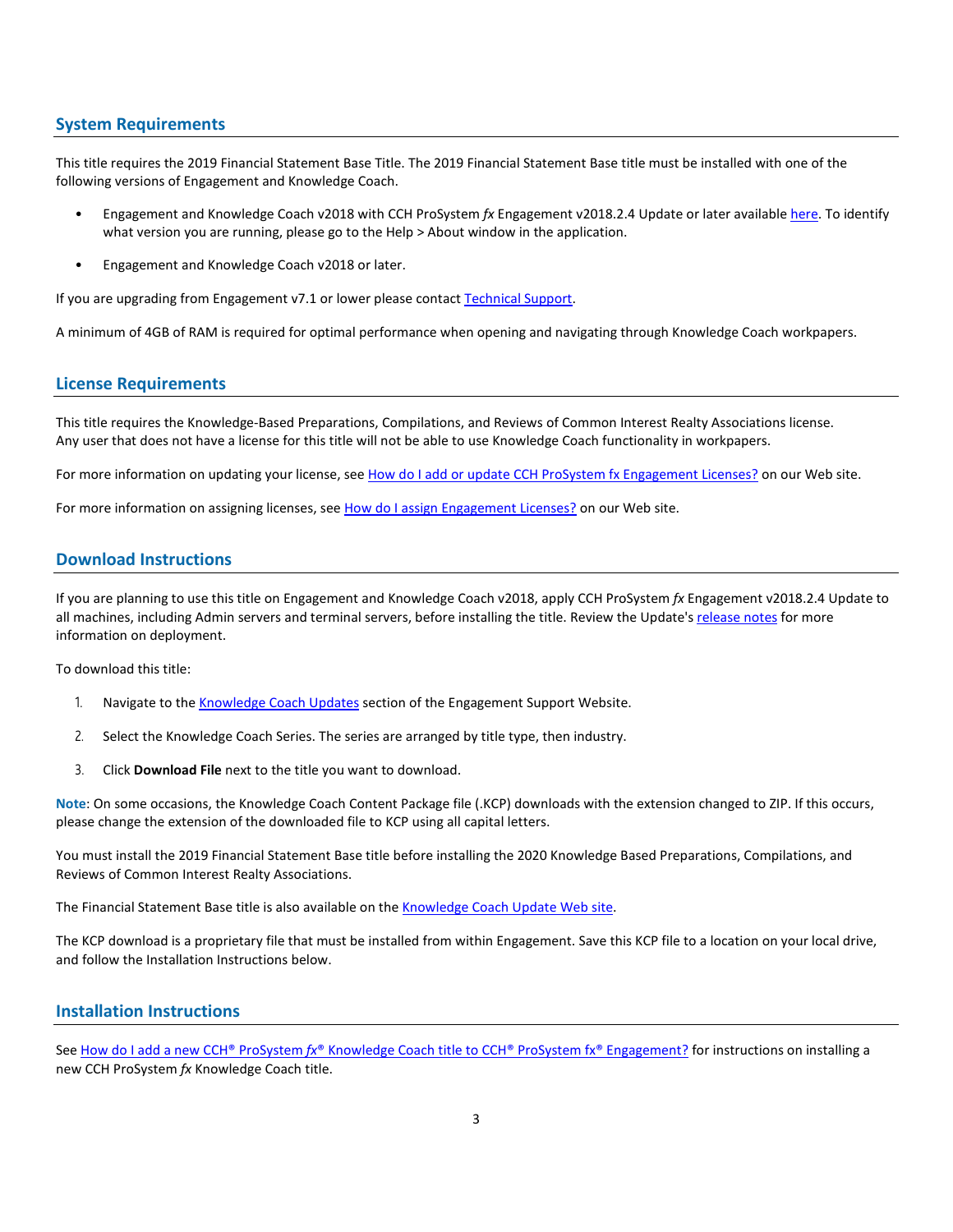#### **System Requirements**

This title requires the 2019 Financial Statement Base Title. The 2019 Financial Statement Base title must be installed with one of the following versions of Engagement and Knowledge Coach.

- Engagement and Knowledge Coach v2018 with CCH ProSystem *fx* Engagement v2018.2.4 Update or later available [here.](https://support.cch.com/updates/Engagement/release2018/release2018.aspx) To identify what version you are running, please go to the Help > About window in the application.
- Engagement and Knowledge Coach v2018 or later.

If you are upgrading from Engagement v7.1 or lower please contac[t Technical Support.](https://support.cch.com/contact)

A minimum of 4GB of RAM is required for optimal performance when opening and navigating through Knowledge Coach workpapers.

# **License Requirements**

This title requires the Knowledge-Based Preparations, Compilations, and Reviews of Common Interest Realty Associations license. Any user that does not have a license for this title will not be able to use Knowledge Coach functionality in workpapers.

For more information on updating your license, see [How do I add or update CCH ProSystem fx Engagement Licenses?](https://support.cch.com/kb/solution.aspx/sw3937) on our Web site.

For more information on assigning licenses, see [How do I assign Engagement Licenses?](https://support.cch.com/kb/solution.aspx/sw3943) on our Web site.

# **Download Instructions**

If you are planning to use this title on Engagement and Knowledge Coach v2018, apply CCH ProSystem *fx* Engagement v2018.2.4 Update to all machines, including Admin servers and terminal servers, before installing the title. Review the Update's [release notes](https://d2iceilwdglxpz.cloudfront.net/release_notes/CCH%20ProSystem%20fx%20Engagement%202018.2.4%20Release%20Notes.pdf) for more information on deployment.

To download this title:

- 1. Navigate to the [Knowledge Coach Updates](http://support.cch.com/updates/KnowledgeCoach) section of the Engagement Support Website.
- 2. Select the Knowledge Coach Series. The series are arranged by title type, then industry.
- 3. Click **Download File** next to the title you want to download.

**Note**: On some occasions, the Knowledge Coach Content Package file (.KCP) downloads with the extension changed to ZIP. If this occurs, please change the extension of the downloaded file to KCP using all capital letters.

You must install the 2019 Financial Statement Base title before installing the 2020 Knowledge Based Preparations, Compilations, and Reviews of Common Interest Realty Associations.

The Financial Statement Base title is also available on th[e Knowledge Coach Update Web](http://support.cch.com/updates/KnowledgeCoach) site.

The KCP download is a proprietary file that must be installed from within Engagement. Save this KCP file to a location on your local drive, and follow the Installation Instructions below.

#### **Installation Instructions**

See How do I add a new CCH® ProSystem *fx*[® Knowledge Coach title to CCH® ProSystem fx® Engagement?](https://support.cch.com/kb/solution/000033707/sw30271) for instructions on installing a new CCH ProSystem *fx* Knowledge Coach title.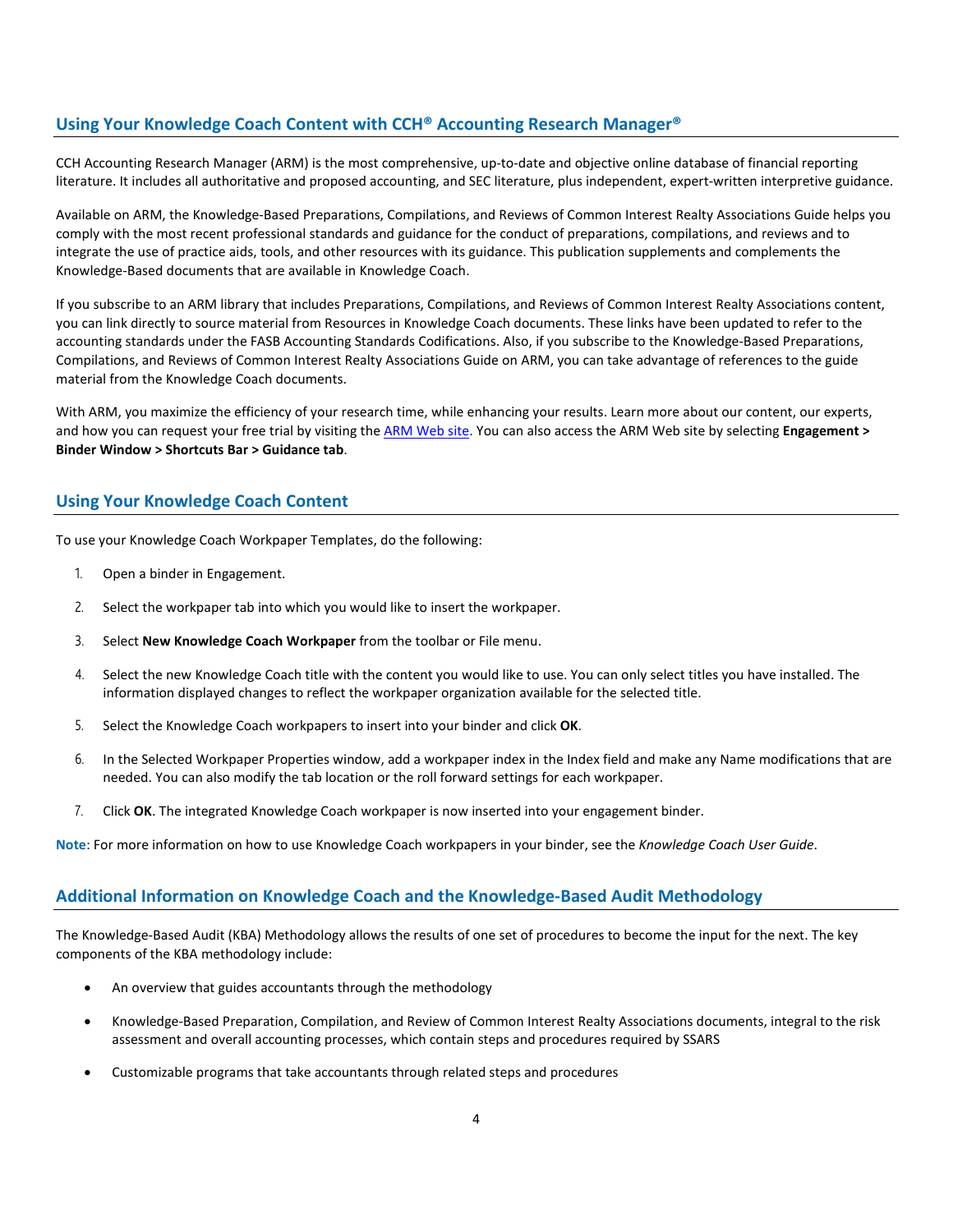#### **Using Your Knowledge Coach Content with CCH® Accounting Research Manager®**

CCH Accounting Research Manager (ARM) is the most comprehensive, up-to-date and objective online database of financial reporting literature. It includes all authoritative and proposed accounting, and SEC literature, plus independent, expert-written interpretive guidance.

Available on ARM, the Knowledge-Based Preparations, Compilations, and Reviews of Common Interest Realty Associations Guide helps you comply with the most recent professional standards and guidance for the conduct of preparations, compilations, and reviews and to integrate the use of practice aids, tools, and other resources with its guidance. This publication supplements and complements the Knowledge-Based documents that are available in Knowledge Coach.

If you subscribe to an ARM library that includes Preparations, Compilations, and Reviews of Common Interest Realty Associations content, you can link directly to source material from Resources in Knowledge Coach documents. These links have been updated to refer to the accounting standards under the FASB Accounting Standards Codifications. Also, if you subscribe to the Knowledge-Based Preparations, Compilations, and Reviews of Common Interest Realty Associations Guide on ARM, you can take advantage of references to the guide material from the Knowledge Coach documents.

With ARM, you maximize the efficiency of your research time, while enhancing your results. Learn more about our content, our experts, and how you can request your free trial by visiting the **ARM Web site**. You can also access th[e ARM Web](http://www.accountingresearchmanager.com/) site by selecting **Engagement > Binder Window > Shortcuts Bar > Guidance tab**.

# **Using Your Knowledge Coach Content**

To use your Knowledge Coach Workpaper Templates, do the following:

- 1. Open a binder in Engagement.
- 2. Select the workpaper tab into which you would like to insert the workpaper.
- 3. Select **New Knowledge Coach Workpaper** from the toolbar or File menu.
- 4. Select the new Knowledge Coach title with the content you would like to use. You can only select titles you have installed. The information displayed changes to reflect the workpaper organization available for the selected title.
- 5. Select the Knowledge Coach workpapers to insert into your binder and click **OK**.
- 6. In the Selected Workpaper Properties window, add a workpaper index in the Index field and make any Name modifications that are needed. You can also modify the tab location or the roll forward settings for each workpaper.
- 7. Click **OK**. The integrated Knowledge Coach workpaper is now inserted into your engagement binder.

**Note**: For more information on how to use Knowledge Coach workpapers in your binder, see the *Knowledge Coach User Guide*.

#### **Additional Information on Knowledge Coach and the Knowledge-Based Audit Methodology**

The Knowledge-Based Audit (KBA) Methodology allows the results of one set of procedures to become the input for the next. The key components of the KBA methodology include:

- An overview that guides accountants through the methodology
- Knowledge-Based Preparation, Compilation, and Review of Common Interest Realty Associations documents, integral to the risk assessment and overall accounting processes, which contain steps and procedures required by SSARS
- Customizable programs that take accountants through related steps and procedures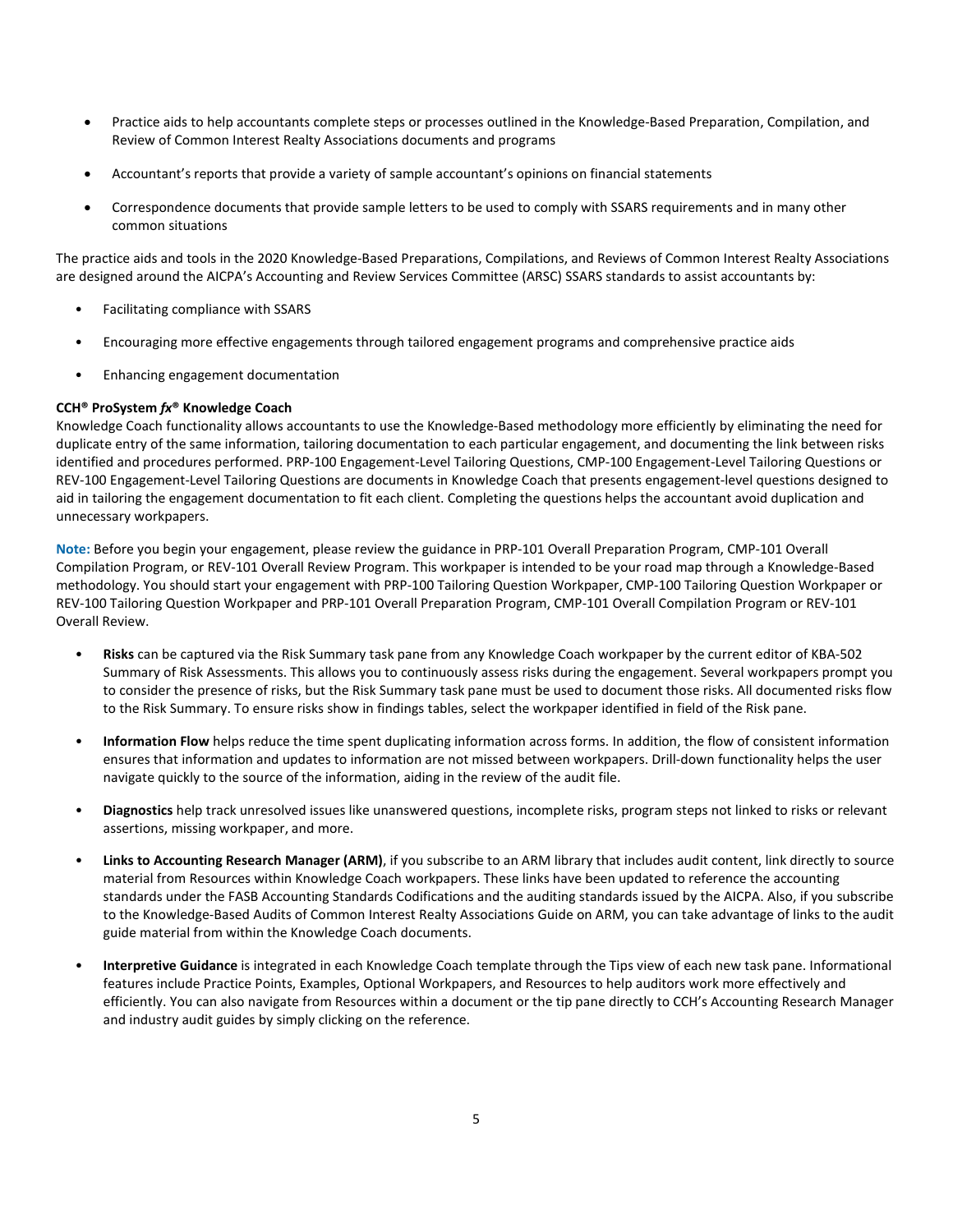- Practice aids to help accountants complete steps or processes outlined in the Knowledge-Based Preparation, Compilation, and Review of Common Interest Realty Associations documents and programs
- Accountant's reports that provide a variety of sample accountant's opinions on financial statements
- Correspondence documents that provide sample letters to be used to comply with SSARS requirements and in many other common situations

The practice aids and tools in the 2020 Knowledge-Based Preparations, Compilations, and Reviews of Common Interest Realty Associations are designed around the AICPA's Accounting and Review Services Committee (ARSC) SSARS standards to assist accountants by:

- Facilitating compliance with SSARS
- Encouraging more effective engagements through tailored engagement programs and comprehensive practice aids
- Enhancing engagement documentation

#### **CCH® ProSystem** *fx***® Knowledge Coach**

Knowledge Coach functionality allows accountants to use the Knowledge-Based methodology more efficiently by eliminating the need for duplicate entry of the same information, tailoring documentation to each particular engagement, and documenting the link between risks identified and procedures performed. PRP-100 Engagement-Level Tailoring Questions, CMP-100 Engagement-Level Tailoring Questions or REV-100 Engagement-Level Tailoring Questions are documents in Knowledge Coach that presents engagement-level questions designed to aid in tailoring the engagement documentation to fit each client. Completing the questions helps the accountant avoid duplication and unnecessary workpapers.

**Note:** Before you begin your engagement, please review the guidance in PRP-101 Overall Preparation Program, CMP-101 Overall Compilation Program, or REV-101 Overall Review Program. This workpaper is intended to be your road map through a Knowledge-Based methodology. You should start your engagement with PRP-100 Tailoring Question Workpaper, CMP-100 Tailoring Question Workpaper or REV-100 Tailoring Question Workpaper and PRP-101 Overall Preparation Program, CMP-101 Overall Compilation Program or REV-101 Overall Review.

- **Risks** can be captured via the Risk Summary task pane from any Knowledge Coach workpaper by the current editor of KBA-502 Summary of Risk Assessments. This allows you to continuously assess risks during the engagement. Several workpapers prompt you to consider the presence of risks, but the Risk Summary task pane must be used to document those risks. All documented risks flow to the Risk Summary. To ensure risks show in findings tables, select the workpaper identified in field of the Risk pane.
- **Information Flow** helps reduce the time spent duplicating information across forms. In addition, the flow of consistent information ensures that information and updates to information are not missed between workpapers. Drill-down functionality helps the user navigate quickly to the source of the information, aiding in the review of the audit file.
- **Diagnostics** help track unresolved issues like unanswered questions, incomplete risks, program steps not linked to risks or relevant assertions, missing workpaper, and more.
- **Links to Accounting Research Manager (ARM)**, if you subscribe to an ARM library that includes audit content, link directly to source material from Resources within Knowledge Coach workpapers. These links have been updated to reference the accounting standards under the FASB Accounting Standards Codifications and the auditing standards issued by the AICPA. Also, if you subscribe to the Knowledge-Based Audits of Common Interest Realty Associations Guide on ARM, you can take advantage of links to the audit guide material from within the Knowledge Coach documents.
- **Interpretive Guidance** is integrated in each Knowledge Coach template through the Tips view of each new task pane. Informational features include Practice Points, Examples, Optional Workpapers, and Resources to help auditors work more effectively and efficiently. You can also navigate from Resources within a document or the tip pane directly to CCH's Accounting Research Manager and industry audit guides by simply clicking on the reference.